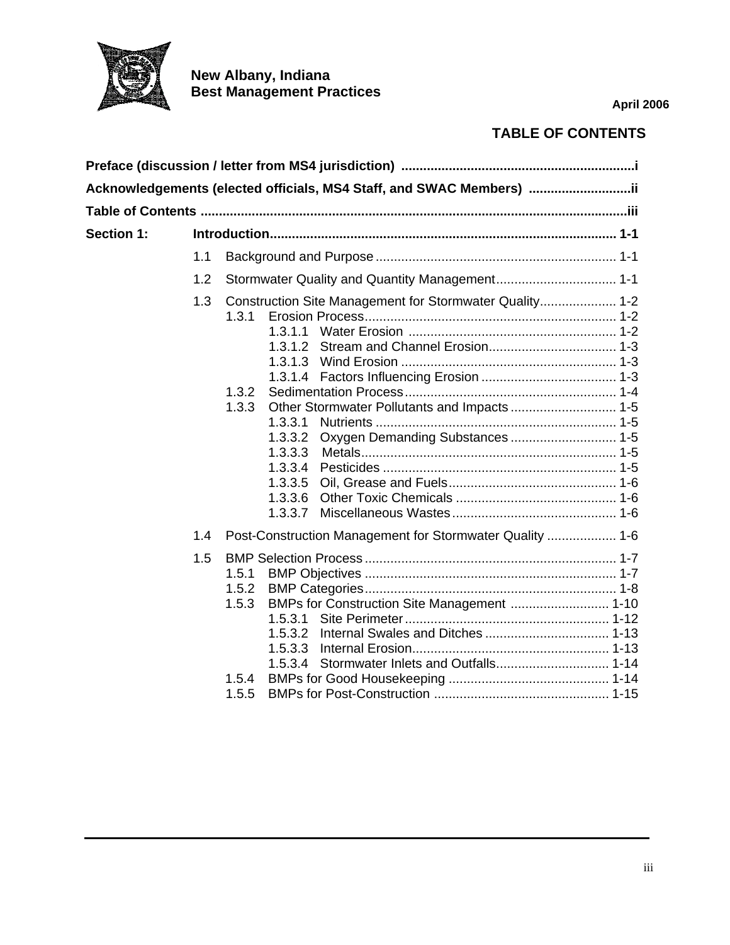

**New Albany, Indiana Best Management Practices** 

**April 2006**

## **TABLE OF CONTENTS**

|            |     | Acknowledgements (elected officials, MS4 Staff, and SWAC Members) …………………………ii                                                                                                                      |  |
|------------|-----|-----------------------------------------------------------------------------------------------------------------------------------------------------------------------------------------------------|--|
|            |     |                                                                                                                                                                                                     |  |
| Section 1: |     |                                                                                                                                                                                                     |  |
|            | 1.1 |                                                                                                                                                                                                     |  |
|            | 1.2 | Stormwater Quality and Quantity Management 1-1                                                                                                                                                      |  |
|            | 1.3 | Construction Site Management for Stormwater Quality 1-2<br>1.3.1<br>1.3.2<br>1.3.3<br>1.3.3.1<br>Oxygen Demanding Substances  1-5<br>1.3.3.2<br>1.3.3.3<br>1.3.3.4<br>1.3.3.5<br>1.3.3.6<br>1.3.3.7 |  |
|            | 1.4 | Post-Construction Management for Stormwater Quality  1-6                                                                                                                                            |  |
|            | 1.5 | 1.5.1<br>1.5.2<br>BMPs for Construction Site Management  1-10<br>1.5.3<br>1.5.3.1<br>1.5.4<br>1.5.5                                                                                                 |  |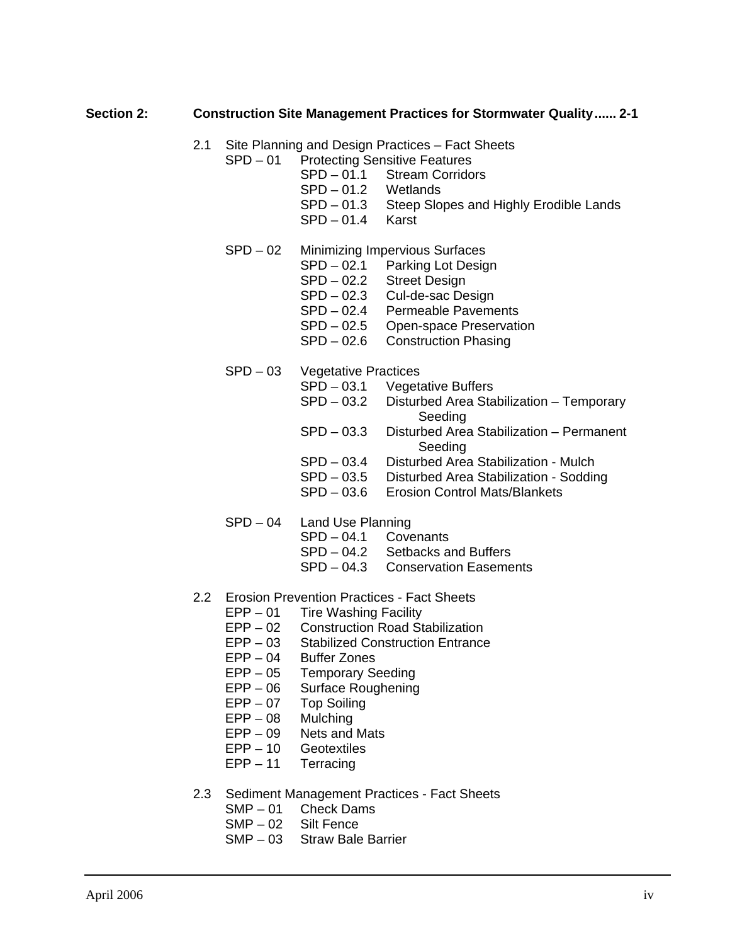## **Section 2: Construction Site Management Practices for Stormwater Quality...... 2-1**

- 2.1 Site Planning and Design Practices Fact Sheets
	- SPD 01 Protecting Sensitive Features
		- SPD 01.1 Stream Corridors
		- SPD 01.2 Wetlands
		- SPD 01.3 Steep Slopes and Highly Erodible Lands
		- SPD 01.4 Karst
	- SPD 02 Minimizing Impervious Surfaces
		- SPD 02.1 Parking Lot Design
		- SPD 02.2 Street Design
		- SPD 02.3 Cul-de-sac Design
		- SPD 02.4 Permeable Pavements
		- SPD 02.5 Open-space Preservation
		- SPD 02.6 Construction Phasing
	- SPD 03 Vegetative Practices
		- SPD 03.1 Vegetative Buffers
		- SPD 03.2 Disturbed Area Stabilization Temporary Seeding
		- SPD 03.3 Disturbed Area Stabilization Permanent **Seeding**
		- SPD 03.4 Disturbed Area Stabilization Mulch
		- SPD 03.5 Disturbed Area Stabilization Sodding
		- SPD 03.6 Erosion Control Mats/Blankets
	- SPD 04 Land Use Planning
		- SPD 04.1 Covenants
		- SPD 04.2 Setbacks and Buffers
		- SPD 04.3 Conservation Easements
- 2.2 Erosion Prevention Practices Fact Sheets
	- EPP 01 Tire Washing Facility
	- EPP 02 Construction Road Stabilization
	- EPP 03 Stabilized Construction Entrance
	- EPP 04 Buffer Zones
	- EPP 05 Temporary Seeding
	- EPP 06 Surface Roughening
	- EPP 07 Top Soiling
	- EPP 08 Mulching
	- EPP 09 Nets and Mats
	- EPP 10 Geotextiles
	- EPP 11 Terracing
- 2.3 Sediment Management Practices Fact Sheets
	- SMP 01 Check Dams
	- SMP 02 Silt Fence
	- SMP 03 Straw Bale Barrier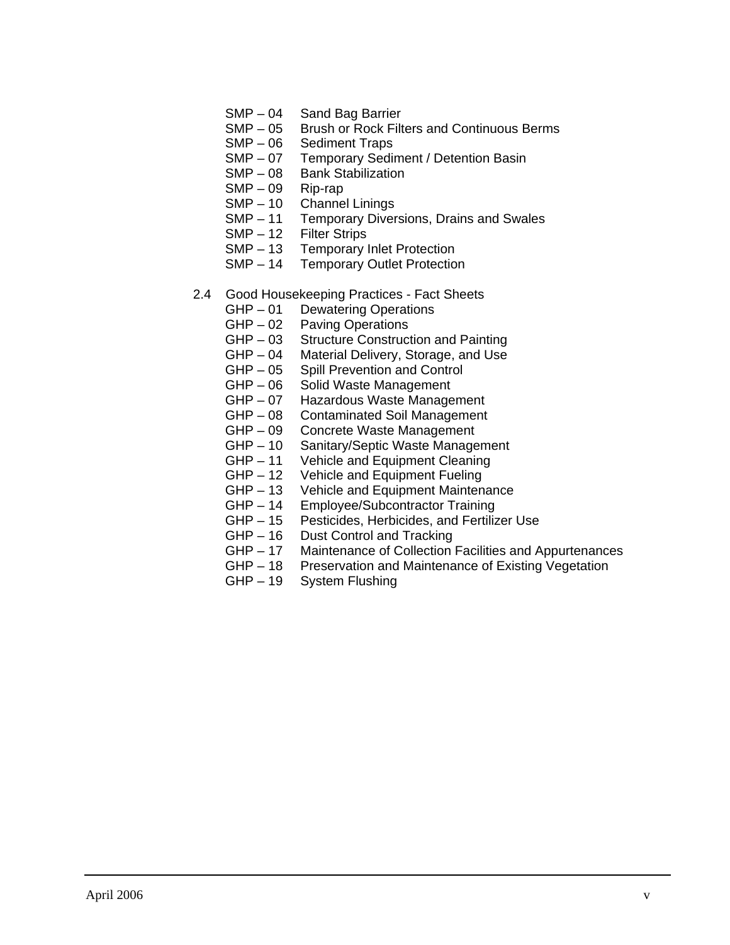- SMP 04 Sand Bag Barrier
- SMP 05 Brush or Rock Filters and Continuous Berms
- SMP 06 Sediment Traps
- SMP 07 Temporary Sediment / Detention Basin<br>SMP 08 Bank Stabilization
- **Bank Stabilization**
- SMP 09 Rip-rap
- SMP 10 Channel Linings
- SMP 11 Temporary Diversions, Drains and Swales
- SMP 12 Filter Strips
- SMP 13 Temporary Inlet Protection<br>SMP 14 Temporary Outlet Protection
- **Temporary Outlet Protection**
- 2.4 Good Housekeeping Practices Fact Sheets
	- GHP 01 Dewatering Operations
	- GHP 02 Paving Operations
	- GHP 03 Structure Construction and Painting
	- GHP 04 Material Delivery, Storage, and Use
	- GHP 05 Spill Prevention and Control
	- GHP 06 Solid Waste Management
	- GHP 07 Hazardous Waste Management
	- GHP 08 Contaminated Soil Management
	- GHP 09 Concrete Waste Management
	- GHP 10 Sanitary/Septic Waste Management
	- GHP 11 Vehicle and Equipment Cleaning
	- GHP 12 Vehicle and Equipment Fueling
	- GHP 13 Vehicle and Equipment Maintenance<br>GHP 14 Employee/Subcontractor Training
	- Employee/Subcontractor Training
	- GHP 15 Pesticides, Herbicides, and Fertilizer Use
	- GHP 16 Dust Control and Tracking
	- GHP 17 Maintenance of Collection Facilities and Appurtenances
	- GHP 18 Preservation and Maintenance of Existing Vegetation
	- GHP 19 System Flushing